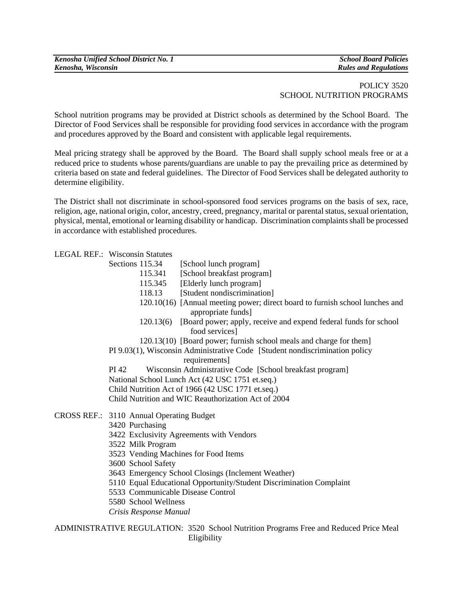| Kenosha Unified School District No. 1 | <b>School Board Policies</b> |
|---------------------------------------|------------------------------|
| Kenosha, Wisconsin                    | <b>Rules and Regulations</b> |

## POLICY 3520 SCHOOL NUTRITION PROGRAMS

School nutrition programs may be provided at District schools as determined by the School Board. The Director of Food Services shall be responsible for providing food services in accordance with the program and procedures approved by the Board and consistent with applicable legal requirements.

Meal pricing strategy shall be approved by the Board. The Board shall supply school meals free or at a reduced price to students whose parents**/**guardians are unable to pay the prevailing price as determined by criteria based on state and federal guidelines. The Director of Food Services shall be delegated authority to determine eligibility.

The District shall not discriminate in school-sponsored food services programs on the basis of sex, race, religion, age, national origin, color, ancestry, creed, pregnancy, marital or parental status, sexual orientation, physical, mental, emotional or learning disability or handicap. Discrimination complaints shall be processed in accordance with established procedures.

## LEGAL REF.: Wisconsin Statutes

| Sections 115.34                                   | [School lunch program]                                                                             |  |
|---------------------------------------------------|----------------------------------------------------------------------------------------------------|--|
| 115.341                                           | [School breakfast program]                                                                         |  |
| 115.345                                           | [Elderly lunch program]                                                                            |  |
| 118.13                                            | [Student nondiscrimination]                                                                        |  |
|                                                   | 120.10(16) [Annual meeting power; direct board to furnish school lunches and<br>appropriate funds] |  |
|                                                   | 120.13(6) [Board power; apply, receive and expend federal funds for school<br>food services]       |  |
|                                                   | 120.13(10) [Board power; furnish school meals and charge for them]                                 |  |
|                                                   | PI 9.03(1), Wisconsin Administrative Code [Student nondiscrimination policy                        |  |
|                                                   | requirements]                                                                                      |  |
| PI 42                                             | Wisconsin Administrative Code [School breakfast program]                                           |  |
| National School Lunch Act (42 USC 1751 et.seq.)   |                                                                                                    |  |
| Child Nutrition Act of 1966 (42 USC 1771 et.seq.) |                                                                                                    |  |
|                                                   | Child Nutrition and WIC Reauthorization Act of 2004                                                |  |
| CROSS REF.: 3110 Annual Operating Budget          |                                                                                                    |  |
| 3420 Purchasing                                   |                                                                                                    |  |
| 3422 Exclusivity Agreements with Vendors          |                                                                                                    |  |
| 3522 Milk Program                                 |                                                                                                    |  |
| 3523 Vending Machines for Food Items              |                                                                                                    |  |

- CROSS REF.: 3
	-
	- 3422 Exclusivity Agreements with Vendors
- 3522 Milk Program
	- 3523 Vending Machines for Food Items
	- 3600 School Safety
	- 3643 Emergency School Closings (Inclement Weather)
	- 5110 Equal Educational Opportunity/Student Discrimination Complaint
	- 5533 Communicable Disease Control
	- 5580 School Wellness
	- *Crisis Response Manual*

ADMINISTRATIVE REGULATION: 3520 School Nutrition Programs Free and Reduced Price Meal Eligibility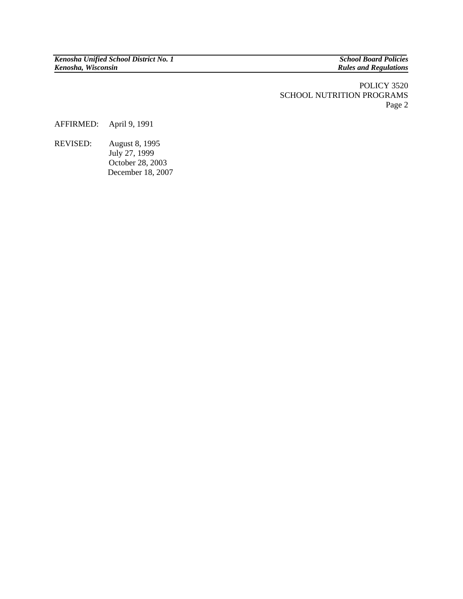**Rules and Regulations** 

POLICY 3520 SCHOOL NUTRITION PROGRAMS Page 2

AFFIRMED: April 9, 1991

REVISED: August 8, 1995 July 27, 1999 October 28, 2003 December 18, 2007